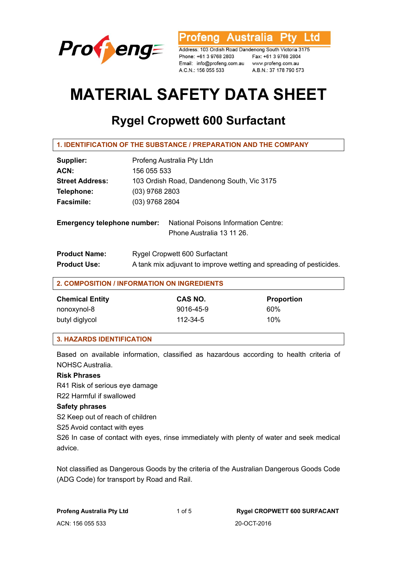

Australia L td ofenal

Address: 103 Ordish Road Dandenong South Victoria 3175 Phone: +61 3 9768 2803 Fax: +61 3 9768 2804 Email: info@profeng.com.au www.profeng.com.au A.C.N.: 156 055 533

A.B.N.: 37 178 790 573

# **MATERIAL SAFETY DATA SHEET**

# **Rygel Cropwett 600 Surfactant**

| <b>1. IDENTIFICATION OF THE SUBSTANCE / PREPARATION AND THE COMPANY</b> |                                            |                                                                     |  |  |
|-------------------------------------------------------------------------|--------------------------------------------|---------------------------------------------------------------------|--|--|
| Supplier:                                                               | Profeng Australia Pty Ltdn                 |                                                                     |  |  |
| ACN:                                                                    | 156 055 533                                |                                                                     |  |  |
| <b>Street Address:</b>                                                  | 103 Ordish Road, Dandenong South, Vic 3175 |                                                                     |  |  |
| Telephone:                                                              | $(03)$ 9768 2803                           |                                                                     |  |  |
| <b>Facsimile:</b>                                                       | (03) 9768 2804                             |                                                                     |  |  |
| <b>Emergency telephone number:</b>                                      |                                            | National Poisons Information Centre:                                |  |  |
|                                                                         |                                            | Phone Australia 13 11 26.                                           |  |  |
| <b>Product Name:</b>                                                    |                                            | Rygel Cropwett 600 Surfactant                                       |  |  |
| <b>Product Use:</b>                                                     |                                            | A tank mix adjuvant to improve wetting and spreading of pesticides. |  |  |

#### **2. COMPOSITION / INFORMATION ON INGREDIENTS**

| <b>Chemical Entity</b> | CAS NO.        | <b>Proportion</b> |
|------------------------|----------------|-------------------|
| nonoxynol-8            | 9016-45-9      | 60%               |
| butyl diglycol         | $112 - 34 - 5$ | 10%               |

# **3. HAZARDS IDENTIFICATION**

Based on available information, classified as hazardous according to health criteria of NOHSC Australia.

# **Risk Phrases**

R41 Risk of serious eye damage

R22 Harmful if swallowed

#### **Safety phrases**

S2 Keep out of reach of children

S25 Avoid contact with eyes

S26 In case of contact with eyes, rinse immediately with plenty of water and seek medical advice.

Not classified as Dangerous Goods by the criteria of the Australian Dangerous Goods Code (ADG Code) for transport by Road and Rail.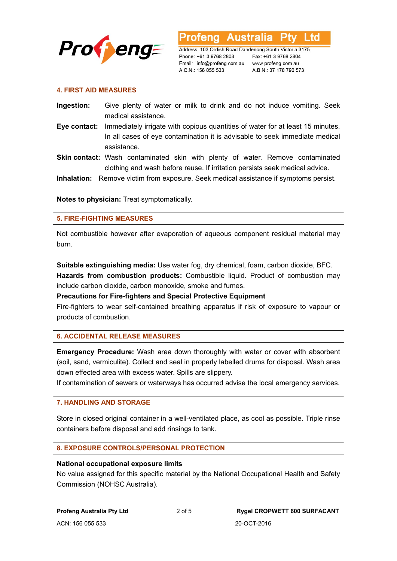

**Australia** L td

Address: 103 Ordish Road Dandenong South Victoria 3175 Phone: +61 3 9768 2803 Email: info@profeng.com.au www.profeng.com.au A.C.N.: 156 055 533

Fax: +61 3 9768 2804 A.B.N.: 37 178 790 573

#### **4. FIRST AID MEASURES**

- **Ingestion:** Give plenty of water or milk to drink and do not induce vomiting. Seek medical assistance.
- **Eye contact:** Immediately irrigate with copious quantities of water for at least 15 minutes. In all cases of eye contamination it is advisable to seek immediate medical assistance.
- Skin contact: Wash contaminated skin with plenty of water. Remove contaminated clothing and wash before reuse. If irritation persists seek medical advice.
- **Inhalation:** Remove victim from exposure. Seek medical assistance if symptoms persist.

**Notes to physician:** Treat symptomatically.

#### **5. FIRE-FIGHTING MEASURES**

Not combustible however after evaporation of aqueous component residual material may burn.

**Suitable extinguishing media:** Use water fog, dry chemical, foam, carbon dioxide, BFC. **Hazards from combustion products:** Combustible liquid. Product of combustion may include carbon dioxide, carbon monoxide, smoke and fumes.

**Precautions for Fire-fighters and Special Protective Equipment** 

Fire-fighters to wear self-contained breathing apparatus if risk of exposure to vapour or products of combustion.

# **6. ACCIDENTAL RELEASE MEASURES**

**Emergency Procedure:** Wash area down thoroughly with water or cover with absorbent (soil, sand, vermiculite). Collect and seal in properly labelled drums for disposal. Wash area down effected area with excess water. Spills are slippery.

If contamination of sewers or waterways has occurred advise the local emergency services.

#### **7. HANDLING AND STORAGE**

Store in closed original container in a well-ventilated place, as cool as possible. Triple rinse containers before disposal and add rinsings to tank.

# **8. EXPOSURE CONTROLS/PERSONAL PROTECTION**

#### **National occupational exposure limits**

No value assigned for this specific material by the National Occupational Health and Safety Commission (NOHSC Australia).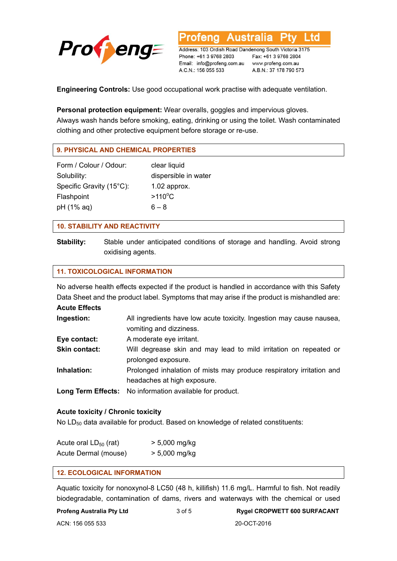

Address: 103 Ordish Road Dandenong South Victoria 3175 Phone: +61 3 9768 2803 Email: info@profeng.com.au www.profeng.com.au A.C.N.: 156 055 533

ofena

**Australia** 

Fax: +61 3 9768 2804 A.B.N.: 37 178 790 573

L td

**Engineering Controls:** Use good occupational work practise with adequate ventilation.

#### **Personal protection equipment:** Wear overalls, goggles and impervious gloves.

Always wash hands before smoking, eating, drinking or using the toilet. Wash contaminated clothing and other protective equipment before storage or re-use.

# **9. PHYSICAL AND CHEMICAL PROPERTIES**

Form / Colour / Odour: clear liquid Solubility: dispersible in water Specific Gravity (15°C): 1.02 approx. Flashpoint pH  $(1\%$  aq) 6 – 8

 $>110^{\circ}$ C

#### **10. STABILITY AND REACTIVITY**

**Stability:** Stable under anticipated conditions of storage and handling. Avoid strong oxidising agents.

#### **11. TOXICOLOGICAL INFORMATION**

No adverse health effects expected if the product is handled in accordance with this Safety Data Sheet and the product label. Symptoms that may arise if the product is mishandled are:

**Acute Effects** 

| Ingestion:           | All ingredients have low acute toxicity. Ingestion may cause nausea,<br>vomiting and dizziness.     |
|----------------------|-----------------------------------------------------------------------------------------------------|
| Eye contact:         | A moderate eye irritant.                                                                            |
| <b>Skin contact:</b> | Will degrease skin and may lead to mild irritation on repeated or<br>prolonged exposure.            |
| Inhalation:          | Prolonged inhalation of mists may produce respiratory irritation and<br>headaches at high exposure. |
|                      | <b>Long Term Effects:</b> No information available for product.                                     |

#### **Acute toxicity / Chronic toxicity**

No  $LD_{50}$  data available for product. Based on knowledge of related constituents:

| Acute oral $LD_{50}$ (rat) | $> 5,000$ mg/kg |
|----------------------------|-----------------|
| Acute Dermal (mouse)       | $> 5,000$ mg/kg |

#### **12. ECOLOGICAL INFORMATION**

Aquatic toxicity for nonoxynol-8 LC50 (48 h, killifish) 11.6 mg/L. Harmful to fish. Not readily biodegradable, contamination of dams, rivers and waterways with the chemical or used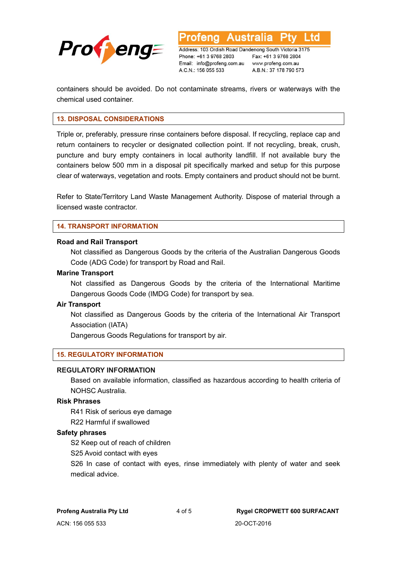

**Australia** Address: 103 Ordish Road Dandenong South Victoria 3175

Phone: +61 3 9768 2803 Email: info@profeng.com.au www.profeng.com.au A.C.N.: 156 055 533

Fax: +61 3 9768 2804 A.B.N.: 37 178 790 573

L to

containers should be avoided. Do not contaminate streams, rivers or waterways with the chemical used container.

#### **13. DISPOSAL CONSIDERATIONS**

Triple or, preferably, pressure rinse containers before disposal. If recycling, replace cap and return containers to recycler or designated collection point. If not recycling, break, crush, puncture and bury empty containers in local authority landfill. If not available bury the containers below 500 mm in a disposal pit specifically marked and setup for this purpose clear of waterways, vegetation and roots. Empty containers and product should not be burnt.

Refer to State/Territory Land Waste Management Authority. Dispose of material through a licensed waste contractor.

#### **14. TRANSPORT INFORMATION**

#### **Road and Rail Transport**

Not classified as Dangerous Goods by the criteria of the Australian Dangerous Goods Code (ADG Code) for transport by Road and Rail.

#### **Marine Transport**

Not classified as Dangerous Goods by the criteria of the International Maritime Dangerous Goods Code (IMDG Code) for transport by sea.

#### **Air Transport**

Not classified as Dangerous Goods by the criteria of the International Air Transport Association (IATA)

Dangerous Goods Regulations for transport by air.

#### **15. REGULATORY INFORMATION**

#### **REGULATORY INFORMATION**

Based on available information, classified as hazardous according to health criteria of NOHSC Australia.

#### **Risk Phrases**

R41 Risk of serious eye damage

R22 Harmful if swallowed

#### **Safety phrases**

S2 Keep out of reach of children

S25 Avoid contact with eyes

S26 In case of contact with eyes, rinse immediately with plenty of water and seek medical advice.